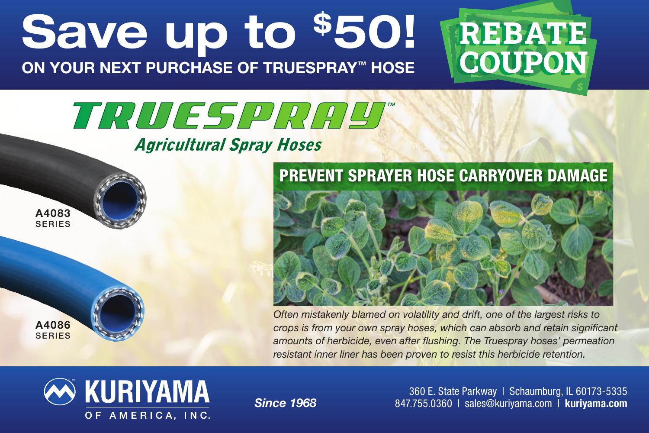## Save up to \$50! ON YOUR NEXT PURCHASE OF TRUESPRAY™ HOSE



# TRUESPRAY

#### **Agricultural Spray Hoses**

A4083 SERIES

A4086 SERIES



*Often mistakenly blamed on volatility and drift, one of the largest risks to crops is from your own spray hoses, which can absorb and retain significant amounts of herbicide, even after flushing. The Truespray hoses' permeation resistant inner liner has been proven to resist this herbicide retention.*



*Since 1968*

360 E. State Parkway | Schaumburg, IL 60173-5335 847.755.0360 | sales@kuriyama.com | kuriyama.com